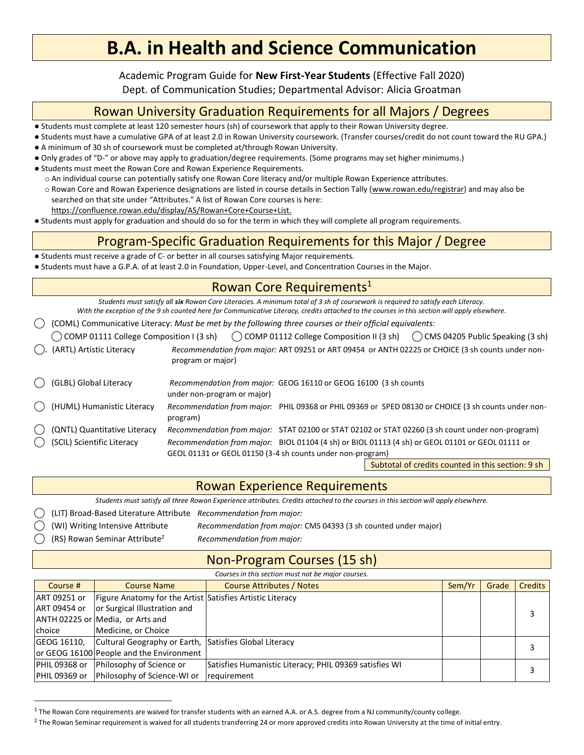Academic Program Guide for **New First-Year Students** (Effective Fall 2020)

Dept. of Communication Studies; Departmental Advisor: Alicia Groatman

## Rowan University Graduation Requirements for all Majors / Degrees

- Students must complete at least 120 semester hours (sh) of coursework that apply to their Rowan University degree.
- Students must have a cumulative GPA of at least 2.0 in Rowan University coursework. (Transfer courses/credit do not count toward the RU GPA.)
- A minimum of 30 sh of coursework must be completed at/through Rowan University.
- Only grades of "D-" or above may apply to graduation/degree requirements. (Some programs may set higher minimums.)
- Students must meet the Rowan Core and Rowan Experience Requirements.
	- o An individual course can potentially satisfy one Rowan Core literacy and/or multiple Rowan Experience attributes.
	- o Rowan Core and Rowan Experience designations are listed in course details in Section Tally [\(www.rowan.edu/registrar\)](http://www.rowan.edu/registrar) and may also be searched on that site under "Attributes." A list of Rowan Core courses is here:
		- [https://confluence.rowan.edu/display/AS/Rowan+Core+Course+List.](https://confluence.rowan.edu/display/AS/Rowan+Core+Course+List)
- Students must apply for graduation and should do so for the term in which they will complete all program requirements.

## Program-Specific Graduation Requirements for this Major / Degree

- Students must receive a grade of C- or better in all courses satisfying Major requirements.
- Students must have a G.P.A. of at least 2.0 in Foundation, Upper-Level, and Concentration Courses in the Major.

### Rowan Core Requirements<sup>1</sup>

*Students must satisfy all six Rowan Core Literacies. A minimum total of 3 sh of coursework is required to satisfy each Literacy. With the exception of the 9 sh counted here for Communicative Literacy, credits attached to the courses in this section will apply elsewhere.*

⃝ (COML) Communicative Literacy: *Must be met by the following three courses or their official equivalents:*

| COMP 01111 College Composition I (3 sh) | $\bigcirc$ COMP 01112 College Composition II (3 sh) $\bigcirc$ CMS 04205 Public Speaking (3 sh)                                                                                                                     |
|-----------------------------------------|---------------------------------------------------------------------------------------------------------------------------------------------------------------------------------------------------------------------|
| (ARTL) Artistic Literacy                | Recommendation from major: ART 09251 or ART 09454 or ANTH 02225 or CHOICE (3 sh counts under non-<br>program or major)                                                                                              |
| (GLBL) Global Literacy                  | Recommendation from major: GEOG 16110 or GEOG 16100 (3 sh counts<br>under non-program or major)                                                                                                                     |
| () (HUML) Humanistic Literacy           | Recommendation from major: PHIL 09368 or PHIL 09369 or SPED 08130 or CHOICE (3 sh counts under non-<br>program)                                                                                                     |
| (QNTL) Quantitative Literacy            | Recommendation from major: STAT 02100 or STAT 02102 or STAT 02260 (3 sh count under non-program)                                                                                                                    |
| (C) (SCIL) Scientific Literacy          | Recommendation from major: BIOL 01104 (4 sh) or BIOL 01113 (4 sh) or GEOL 01101 or GEOL 01111 or<br>GEOL 01131 or GEOL 01150 (3-4 sh counts under non-program)<br>Cubtatel of assalite counted in this section. Och |

Subtotal of credits counted in this section: 9 sh

### Rowan Experience Requirements

*Students must satisfy all three Rowan Experience attributes. Credits attached to the courses in this section will apply elsewhere.* 

⃝ (LIT) Broad-Based Literature Attribute *Recommendation from major:*

- ⃝ (WI) Writing Intensive Attribute *Recommendation from major:* CMS 04393 (3 sh counted under major)
- ⃝ (RS) Rowan Seminar Attribute<sup>2</sup> *Recommendation from major:*

## Non-Program Courses (15 sh)

*Courses in this section must not be major courses.*

| Course #      | <b>Course Name</b>                                        | <b>Course Attributes / Notes</b>                       | Sem/Yr | Grade | <b>Credits</b> |
|---------------|-----------------------------------------------------------|--------------------------------------------------------|--------|-------|----------------|
| ART 09251 or  | Figure Anatomy for the Artist Satisfies Artistic Literacy |                                                        |        |       |                |
| ART 09454 or  | or Surgical Illustration and                              |                                                        |        |       |                |
|               | ANTH 02225 or Media, or Arts and                          |                                                        |        |       |                |
| choice        | Medicine, or Choice                                       |                                                        |        |       |                |
| GEOG 16110,   | Cultural Geography or Earth, Satisfies Global Literacy    |                                                        |        |       |                |
|               | or GEOG 16100 People and the Environment                  |                                                        |        |       |                |
| PHIL 09368 or | Philosophy of Science or                                  | Satisfies Humanistic Literacy; PHIL 09369 satisfies WI |        |       | 3              |
|               | <b>PHIL 09369 or Philosophy of Science-WI or</b>          | requirement                                            |        |       |                |

 $^1$  The Rowan Core requirements are waived for transfer students with an earned A.A. or A.S. degree from a NJ community/county college.

<sup>&</sup>lt;sup>2</sup> The Rowan Seminar requirement is waived for all students transferring 24 or more approved credits into Rowan University at the time of initial entry.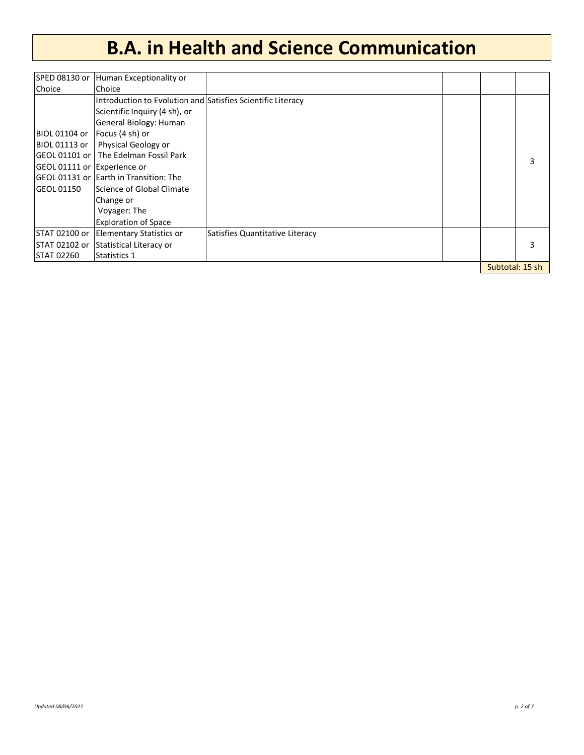| SPED 08130 or               | Human Exceptionality or                                     |                                 |                 |
|-----------------------------|-------------------------------------------------------------|---------------------------------|-----------------|
| Choice                      | Choice                                                      |                                 |                 |
|                             | Introduction to Evolution and Satisfies Scientific Literacy |                                 |                 |
|                             | Scientific Inquiry (4 sh), or                               |                                 |                 |
|                             | General Biology: Human                                      |                                 |                 |
| BIOL 01104 or               | Focus (4 sh) or                                             |                                 |                 |
| BIOL 01113 or               | Physical Geology or                                         |                                 |                 |
| GEOL 01101 or               | The Edelman Fossil Park                                     |                                 | 3               |
| GEOL 01111 or Experience or |                                                             |                                 |                 |
|                             | GEOL 01131 or  Earth in Transition: The                     |                                 |                 |
| lGEOL 01150                 | Science of Global Climate                                   |                                 |                 |
|                             | Change or                                                   |                                 |                 |
|                             | Voyager: The                                                |                                 |                 |
|                             | <b>Exploration of Space</b>                                 |                                 |                 |
| STAT 02100 or               | <b>Elementary Statistics or</b>                             | Satisfies Quantitative Literacy |                 |
| STAT 02102 or               | Statistical Literacy or                                     |                                 | 3               |
| STAT 02260                  | Statistics 1                                                |                                 |                 |
|                             |                                                             |                                 | Subtotal: 15 sh |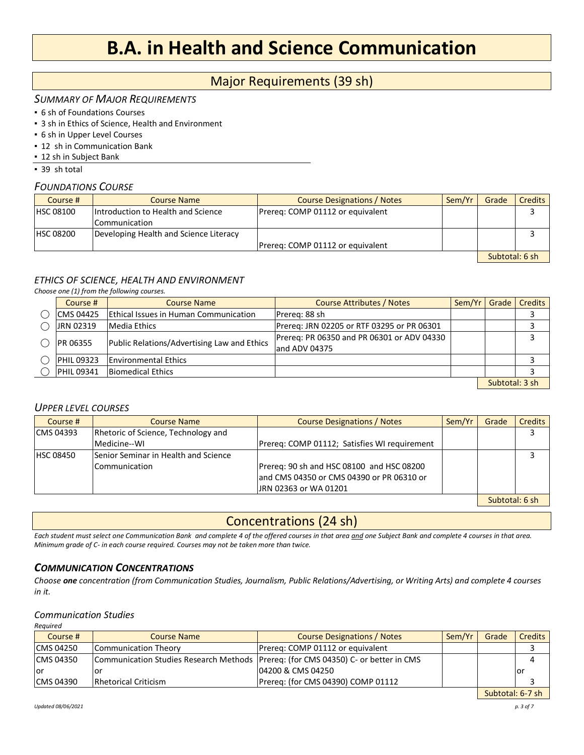### Major Requirements (39 sh)

#### *SUMMARY OF MAJOR REQUIREMENTS*

- 6 sh of Foundations Courses
- **3 sh in Ethics of Science, Health and Environment**
- 6 sh in Upper Level Courses
- 12 sh in Communication Bank
- 12 sh in Subject Bank

▪ 39 sh total

#### *FOUNDATIONS COURSE*

| Course #         | <b>Course Name</b>                     | <b>Course Designations / Notes</b> | Sem/Yr | Grade          | Credits |
|------------------|----------------------------------------|------------------------------------|--------|----------------|---------|
| <b>HSC 08100</b> | Introduction to Health and Science     | Prereg: COMP 01112 or equivalent   |        |                |         |
|                  | lCommunication                         |                                    |        |                |         |
| <b>HSC 08200</b> | Developing Health and Science Literacy |                                    |        |                |         |
|                  |                                        | Prereg: COMP 01112 or equivalent   |        |                |         |
|                  |                                        |                                    |        | Subtotal: 6 sh |         |

### *ETHICS OF SCIENCE, HEALTH AND ENVIRONMENT*

*Choose one (1) from the following courses.*

| Course #          | Course Name                                 | <b>Course Attributes / Notes</b>                            | Sem/Yr   Grade | Credits |
|-------------------|---------------------------------------------|-------------------------------------------------------------|----------------|---------|
| CMS 04425         | Ethical Issues in Human Communication       | Prereg: 88 sh                                               |                |         |
| JRN 02319         | <b>Media Ethics</b>                         | Prereg: JRN 02205 or RTF 03295 or PR 06301                  |                |         |
| PR 06355          | Public Relations/Advertising Law and Ethics | Prereq: PR 06350 and PR 06301 or ADV 04330<br>and ADV 04375 |                |         |
| <b>PHIL 09323</b> | <b>Environmental Ethics</b>                 |                                                             |                |         |
| <b>PHIL 09341</b> | <b>Biomedical Ethics</b>                    |                                                             |                |         |
|                   |                                             |                                                             |                |         |

Subtotal: 3 sh

#### *UPPER LEVEL COURSES*

| Course #         | <b>Course Name</b>                   | <b>Course Designations / Notes</b>           | Sem/Yr | Grade          | <b>Credits</b> |
|------------------|--------------------------------------|----------------------------------------------|--------|----------------|----------------|
| <b>CMS 04393</b> | Rhetoric of Science, Technology and  |                                              |        |                |                |
|                  | Medicine--WI                         | Prereg: COMP 01112; Satisfies WI requirement |        |                |                |
| <b>HSC 08450</b> | Senior Seminar in Health and Science |                                              |        |                |                |
|                  | Communication                        | Prereq: 90 sh and HSC 08100 and HSC 08200    |        |                |                |
|                  |                                      | land CMS 04350 or CMS 04390 or PR 06310 or   |        |                |                |
|                  |                                      | URN 02363 or WA 01201                        |        |                |                |
|                  |                                      |                                              |        | Subtotal: 6 sh |                |

### Concentrations (24 sh)

*Each student must select one Communication Bank and complete 4 of the offered courses in that area and one Subject Bank and complete 4 courses in that area. Minimum grade of C- in each course required. Courses may not be taken more than twice.* 

#### *COMMUNICATION CONCENTRATIONS*

*Choose one concentration (from Communication Studies, Journalism, Public Relations/Advertising, or Writing Arts) and complete 4 courses in it.*

#### *Communication Studies*

| Reauired         |                             |                                                                                      |        |       |                |
|------------------|-----------------------------|--------------------------------------------------------------------------------------|--------|-------|----------------|
| Course #         | <b>Course Name</b>          | <b>Course Designations / Notes</b>                                                   | Sem/Yr | Grade | <b>Credits</b> |
| <b>CMS 04250</b> | Communication Theory        | Prereg: COMP 01112 or equivalent                                                     |        |       |                |
| <b>CMS 04350</b> |                             | Communication Studies Research Methods   Prereq: (for CMS 04350) C- or better in CMS |        |       |                |
| l or             | ΟI                          | 04200 & CMS 04250                                                                    |        |       | lor            |
| <b>CMS 04390</b> | <b>Rhetorical Criticism</b> | Prereg: (for CMS 04390) COMP 01112                                                   |        |       |                |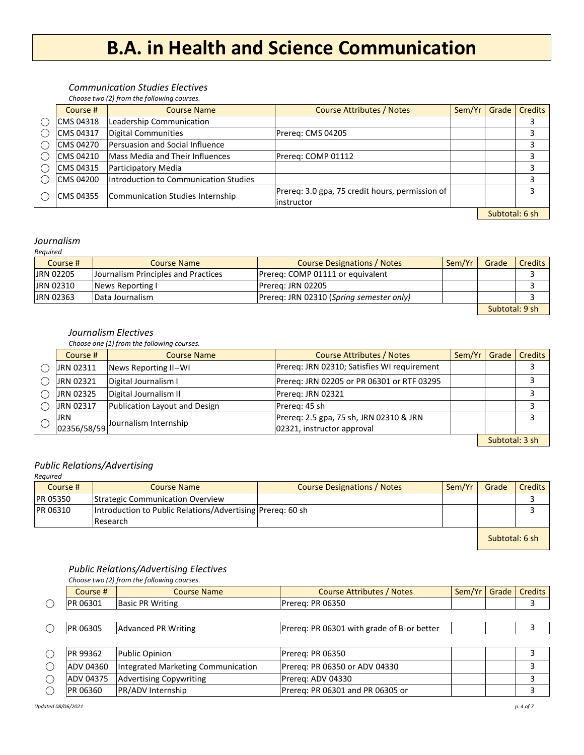#### *Communication Studies Electives*

*Choose two (2) from the following courses.*

| Course #   | <b>Course Name</b>                    | <b>Course Attributes / Notes</b>                | Sem/Yr | Grade          | <b>Credits</b> |
|------------|---------------------------------------|-------------------------------------------------|--------|----------------|----------------|
| CMS 04318  | Leadership Communication              |                                                 |        |                |                |
| CMS 04317  | Digital Communities                   | Prereg: CMS 04205                               |        |                |                |
| CMS 04270  | Persuasion and Social Influence       |                                                 |        |                |                |
| CMS 04210  | Mass Media and Their Influences       | Prereq: COMP 01112                              |        |                |                |
| CMS 04315  | Participatory Media                   |                                                 |        |                | 3              |
| ICMS 04200 | Introduction to Communication Studies |                                                 |        |                |                |
| ICMS 04355 | Communication Studies Internship      | Prereq: 3.0 gpa, 75 credit hours, permission of |        |                | 3              |
|            |                                       | linstructor                                     |        |                |                |
|            |                                       |                                                 |        | Subtotal: 6 sh |                |

#### *Journalism*

| Reauired         |                                     |                                          |        |                |                  |
|------------------|-------------------------------------|------------------------------------------|--------|----------------|------------------|
| Course #         | Course Name                         | <b>Course Designations / Notes</b>       | Sem/Yr | Grade          | <b>Credits</b> I |
| <b>JRN 02205</b> | Journalism Principles and Practices | Prereg: COMP 01111 or equivalent         |        |                |                  |
| <b>JRN 02310</b> | News Reporting I                    | Prereg: JRN 02205                        |        |                |                  |
| <b>JRN 02363</b> | Data Journalism                     | Prereq: JRN 02310 (Spring semester only) |        |                |                  |
|                  |                                     |                                          |        | Subtotal: 9 sh |                  |

#### *Journalism Electives*

*Choose one (1) from the following courses.*

| Course #   | <b>Course Name</b>                                     | Course Attributes / Notes                   | Sem/Yr   Grade | <b>Credits</b> |
|------------|--------------------------------------------------------|---------------------------------------------|----------------|----------------|
| JRN 02311  | News Reporting II--WI                                  | Prereq: JRN 02310; Satisfies WI requirement |                |                |
| JRN 02321  | Digital Journalism I                                   | Prereg: JRN 02205 or PR 06301 or RTF 03295  |                |                |
| JRN 02325  | Digital Journalism II                                  | Prereg: JRN 02321                           |                |                |
| JRN 02317  | Publication Layout and Design                          | Prereg: 45 sh                               |                |                |
| <b>JRN</b> |                                                        | Prereq: 2.5 gpa, 75 sh, JRN 02310 & JRN     |                |                |
|            | $\frac{1}{2}$ $\sqrt{2356/58/59}$ ournalism Internship | 02321, instructor approval                  |                |                |

Subtotal: 3 sh

#### *Public Relations/Advertising*

### *Required* Course # | Course Name Course Name | Course Designations / Notes | Sem/Yr | Grade | Credits PR 05350 Strategic Communication Overview 3 PR 06310 Introduction to Public Relations/Advertising Prereq: 60 sh 3 Research

Subtotal: 6 sh

#### *Public Relations/Advertising Electives*

|            |                 | Choose two (2) from the following courses. |                                            |        |       |                |
|------------|-----------------|--------------------------------------------|--------------------------------------------|--------|-------|----------------|
|            | Course #        | <b>Course Name</b>                         | Course Attributes / Notes                  | Sem/Yr | Grade | <b>Credits</b> |
| $\bigcirc$ | PR 06301        | <b>Basic PR Writing</b>                    | <b>Prereg: PR 06350</b>                    |        |       |                |
|            |                 |                                            |                                            |        |       |                |
|            | PR 06305        | <b>Advanced PR Writing</b>                 | Prereq: PR 06301 with grade of B-or better |        |       |                |
|            |                 |                                            |                                            |        |       |                |
| $\bigcirc$ | <b>PR 99362</b> | Public Opinion                             | Prereg: PR 06350                           |        |       |                |
| $\bigcirc$ | ADV 04360       | Integrated Marketing Communication         | Prereq: PR 06350 or ADV 04330              |        |       | 3              |
| $\bigcirc$ | IADV 04375      | <b>Advertising Copywriting</b>             | Prereg: ADV 04330                          |        |       |                |
| ◯          | <b>PR 06360</b> | PR/ADV Internship                          | Prereg: PR 06301 and PR 06305 or           |        |       |                |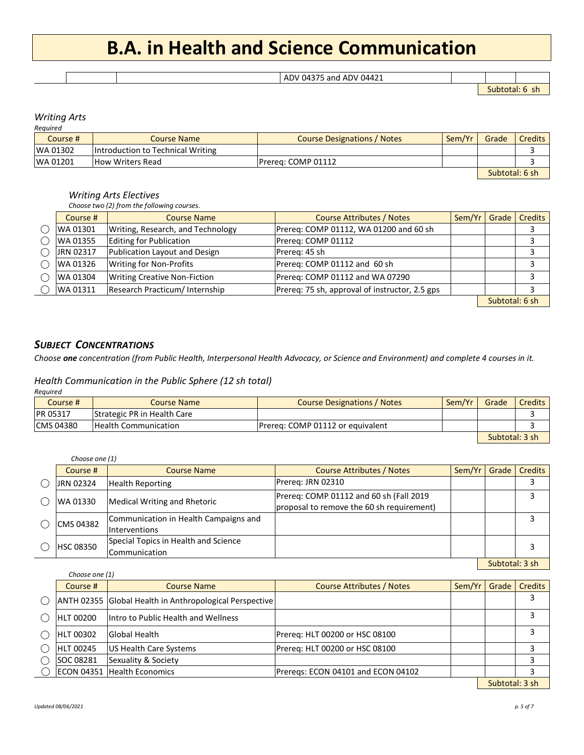|--|

Subtotal: 6 sh

#### *Writing Arts Required*

| ,,,,,,,,,,,, |                                   |                                    |                |       |         |  |  |  |
|--------------|-----------------------------------|------------------------------------|----------------|-------|---------|--|--|--|
| Course #     | Course Name                       | <b>Course Designations / Notes</b> | Sem/Yr         | Grade | Credits |  |  |  |
| WA 01302     | Introduction to Technical Writing |                                    |                |       |         |  |  |  |
| WA 01201     | <b>How Writers Read</b>           | Prerea: COMP 01112                 |                |       |         |  |  |  |
|              |                                   |                                    | Subtotal: 6 sh |       |         |  |  |  |

#### *Writing Arts Electives*

*Choose two (2) from the following courses.*

| Course #  | <b>Course Name</b>                  | <b>Course Attributes / Notes</b>               | Sem/Yr I | Grade          | <b>Credits</b> |
|-----------|-------------------------------------|------------------------------------------------|----------|----------------|----------------|
| WA 01301  | Writing, Research, and Technology   | Prereg: COMP 01112, WA 01200 and 60 sh         |          |                |                |
| WA 01355  | Editing for Publication             | Prereg: COMP 01112                             |          |                |                |
| JRN 02317 | Publication Layout and Design       | Prereg: 45 sh                                  |          |                |                |
| WA 01326  | <b>Writing for Non-Profits</b>      | Prereg: COMP 01112 and 60 sh                   |          |                |                |
| WA 01304  | <b>Writing Creative Non-Fiction</b> | Prereq: COMP 01112 and WA 07290                |          |                |                |
| WA 01311  | Research Practicum/ Internship      | Prereq: 75 sh, approval of instructor, 2.5 gps |          |                |                |
|           |                                     |                                                |          | Subtotal: 6 sh |                |

#### *SUBJECT CONCENTRATIONS*

*Choose one concentration (from Public Health, Interpersonal Health Advocacy, or Science and Environment) and complete 4 courses in it.*

#### *Health Communication in the Public Sphere (12 sh total)*

| Reauired         |                             |                                    |        |                |                |
|------------------|-----------------------------|------------------------------------|--------|----------------|----------------|
| Course #         | <b>Course Name</b>          | <b>Course Designations / Notes</b> | Sem/Yr | Grade          | <b>Credits</b> |
| <b>PR 05317</b>  | Strategic PR in Health Care |                                    |        |                |                |
| <b>CMS 04380</b> | <b>Health Communication</b> | Prereg: COMP 01112 or equivalent   |        |                |                |
|                  |                             |                                    |        | Subtotal: 3 sh |                |

| Choose one (1)   |                                                              |                                                                                      |          |       |         |
|------------------|--------------------------------------------------------------|--------------------------------------------------------------------------------------|----------|-------|---------|
| Course #         | <b>Course Name</b>                                           | <b>Course Attributes / Notes</b>                                                     | Sem/Yr I | Grade | Credits |
| JRN 02324        | <b>Health Reporting</b>                                      | Prereg: JRN 02310                                                                    |          |       |         |
| WA 01330         | Medical Writing and Rhetoric                                 | Prereq: COMP 01112 and 60 sh (Fall 2019<br>proposal to remove the 60 sh requirement) |          |       |         |
| CMS 04382        | Communication in Health Campaigns and<br>Interventions       |                                                                                      |          |       |         |
| <b>HSC 08350</b> | Special Topics in Health and Science<br><b>Communication</b> |                                                                                      |          |       |         |
|                  |                                                              |                                                                                      |          |       | .       |

Subtotal: 3 sh

|           | Choose one (1)   |                                                         |                                    |        |       |                |
|-----------|------------------|---------------------------------------------------------|------------------------------------|--------|-------|----------------|
|           | Course #         | Course Name                                             | <b>Course Attributes / Notes</b>   | Sem/Yr | Grade | <b>Credits</b> |
| $\bigcap$ |                  | ANTH 02355 Global Health in Anthropological Perspective |                                    |        |       |                |
|           | HLT 00200        | Intro to Public Health and Wellness                     |                                    |        |       | 3              |
|           | <b>HLT 00302</b> | <b>Global Health</b>                                    | Prereg: HLT 00200 or HSC 08100     |        |       |                |
|           | <b>HLT 00245</b> | US Health Care Systems                                  | Prereq: HLT 00200 or HSC 08100     |        |       |                |
|           | SOC 08281        | Sexuality & Society                                     |                                    |        |       |                |
|           |                  | ECON 04351 Health Economics                             | Preregs: ECON 04101 and ECON 04102 |        |       |                |

Subtotal: 3 sh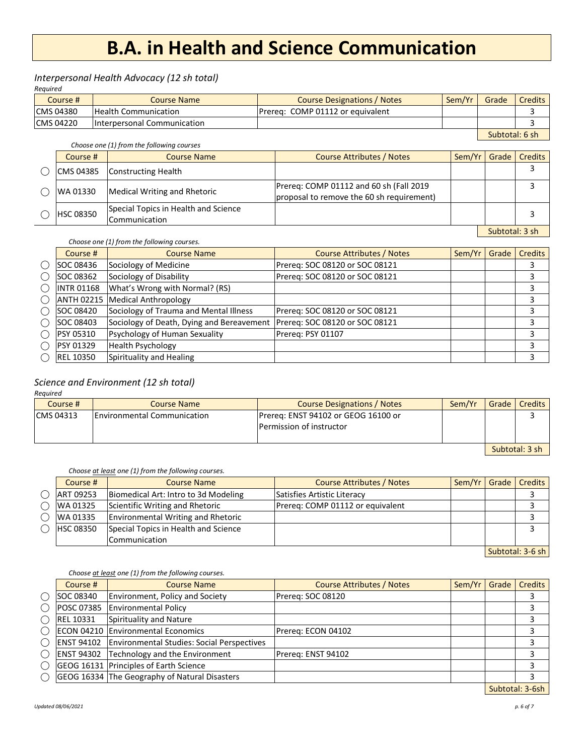#### *Interpersonal Health Advocacy (12 sh total)*

*Required*

| Course #         | Course Name                 | <b>Course Designations / Notes</b> | Sem/Yr         | Grade | <b>Credits</b> |
|------------------|-----------------------------|------------------------------------|----------------|-------|----------------|
| <b>CMS 04380</b> | <b>Health Communication</b> | IPrerea: COMP 01112 or eauivalent  |                |       |                |
| <b>CMS 04220</b> | Interpersonal Communication |                                    |                |       |                |
|                  |                             |                                    | Subtotal: 6 sh |       |                |

*Choose one (1) from the following courses*

| Course #         | <b>Course Name</b>                                    | Course Attributes / Notes                                                            | Sem/Yr | Grade          | <b>Credits</b> |
|------------------|-------------------------------------------------------|--------------------------------------------------------------------------------------|--------|----------------|----------------|
| CMS 04385        | Constructing Health                                   |                                                                                      |        |                |                |
| WA 01330         | <b>Medical Writing and Rhetoric</b>                   | Prereq: COMP 01112 and 60 sh (Fall 2019<br>proposal to remove the 60 sh requirement) |        |                |                |
| <b>HSC 08350</b> | Special Topics in Health and Science<br>Communication |                                                                                      |        |                |                |
|                  |                                                       |                                                                                      |        | Subtotal: 3 sh |                |

*Choose one (1) from the following courses.*

| Course #          | <b>Course Name</b>                        | <b>Course Attributes / Notes</b> | Sem/Yr | Grade | <b>Credits</b> |
|-------------------|-------------------------------------------|----------------------------------|--------|-------|----------------|
| SOC 08436         | Sociology of Medicine                     | Prereq: SOC 08120 or SOC 08121   |        |       |                |
| SOC 08362         | Sociology of Disability                   | Prereg: SOC 08120 or SOC 08121   |        |       |                |
| <b>INTR 01168</b> | What's Wrong with Normal? (RS)            |                                  |        |       |                |
|                   | ANTH 02215   Medical Anthropology         |                                  |        |       |                |
| SOC 08420         | Sociology of Trauma and Mental Illness    | Prereg: SOC 08120 or SOC 08121   |        |       |                |
| <b>SOC 08403</b>  | Sociology of Death, Dying and Bereavement | Prereg: SOC 08120 or SOC 08121   |        |       |                |
| <b>PSY 05310</b>  | Psychology of Human Sexuality             | Prereg: PSY 01107                |        |       | 3              |
| <b>PSY 01329</b>  | <b>Health Psychology</b>                  |                                  |        |       |                |
| <b>REL 10350</b>  | Spirituality and Healing                  |                                  |        |       | ∍              |

#### *Science and Environment (12 sh total)*

*Required*

| Course #   | <b>Course Name</b>                 | <b>Course Designations / Notes</b>                              | Sem/Yr | Grade I | <b>Credits</b> |
|------------|------------------------------------|-----------------------------------------------------------------|--------|---------|----------------|
| ICMS 04313 | <b>Environmental Communication</b> | Prereg: ENST 94102 or GEOG 16100 or<br>Permission of instructor |        |         |                |
|            |                                    |                                                                 |        |         | Subtotal: 3 sh |

*Choose at least one (1) from the following courses.*

| Course #         | <b>Course Name</b>                        | Course Attributes / Notes        | Sem/Yr   Grade |  | <b>Credits</b>                                         |
|------------------|-------------------------------------------|----------------------------------|----------------|--|--------------------------------------------------------|
| ART 09253        | Biomedical Art: Intro to 3d Modeling      | Satisfies Artistic Literacy      |                |  |                                                        |
| WA 01325         | Scientific Writing and Rhetoric           | Prereg: COMP 01112 or equivalent |                |  |                                                        |
| WA 01335         | <b>Environmental Writing and Rhetoric</b> |                                  |                |  |                                                        |
| <b>HSC 08350</b> | Special Topics in Health and Science      |                                  |                |  |                                                        |
|                  | Communication                             |                                  |                |  |                                                        |
|                  |                                           |                                  |                |  | $\alpha$ is the set of $\alpha$ in the set of $\alpha$ |

Subtotal: 3-6 sh

#### *Choose at least one (1) from the following courses.*

| Course #          | <b>Course Name</b>                                           | Course Attributes / Notes | Sem/Yr | Grade | <b>Credits</b>  |
|-------------------|--------------------------------------------------------------|---------------------------|--------|-------|-----------------|
| SOC 08340         | <b>Environment, Policy and Society</b>                       | Prereg: SOC 08120         |        |       |                 |
| POSC 07385        | <b>Environmental Policy</b>                                  |                           |        |       |                 |
| <b>REL 10331</b>  | Spirituality and Nature                                      |                           |        |       |                 |
|                   | ECON 04210 Environmental Economics                           | Prereg: ECON 04102        |        |       |                 |
|                   | <b>ENST 94102</b> Environmental Studies: Social Perspectives |                           |        |       |                 |
| <b>ENST 94302</b> | Technology and the Environment                               | Prereg: ENST 94102        |        |       |                 |
|                   | GEOG 16131 Principles of Earth Science                       |                           |        |       |                 |
|                   | GEOG 16334 The Geography of Natural Disasters                |                           |        |       |                 |
|                   |                                                              |                           |        |       | Subtotal: 3-6sh |